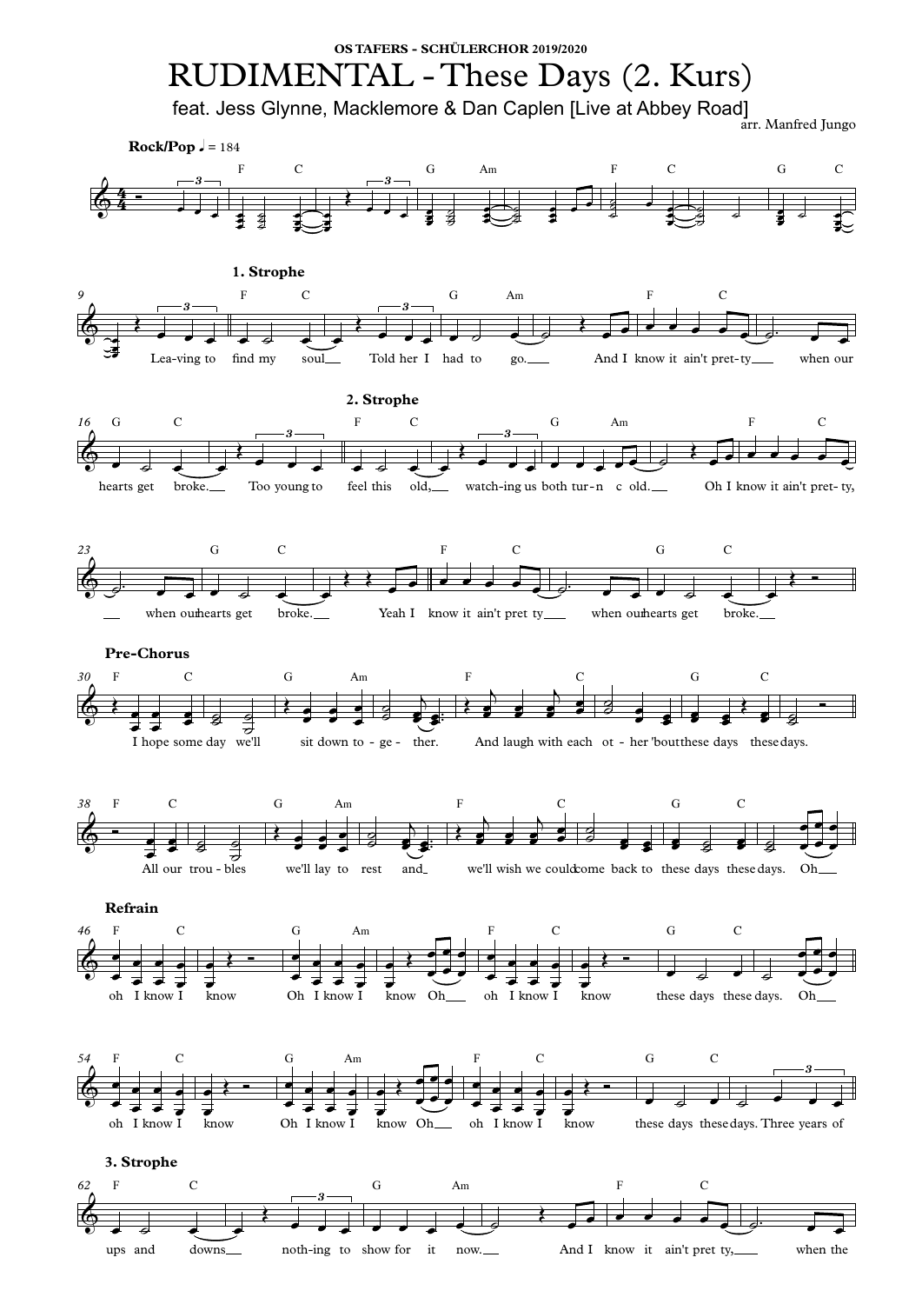**3. Strophe**



 $\begin{array}{ccc} \bullet & \bullet & \bullet & \bullet \end{array}$ œ œ œ œ œ e die  $\frac{1}{\bullet}$   $\frac{1}{\bullet}$  $\bullet$   $\bullet$   $\overrightarrow{e}$ **∪**<br>←  $\bullet$   $\leftarrow$  $\frac{\partial}{\partial t}$   $\frac{\partial}{\partial t}$   $\frac{\partial}{\partial t}$ œ œ œ œ e die œ œ  $\bullet$   $\bullet$   $\overrightarrow{e}$  $\bullet$  $\sum$  $e^+e^ \overline{\bullet}$   $\overline{\bullet}$   $\overline{\bullet}$   $\overline{\bullet}$  $\overrightarrow{ }$  $\overrightarrow{e}$  $\frac{1}{2}$  $\overrightarrow{e}$ œ œ œ œ œ e die  $\frac{1}{\bullet}$   $\frac{1}{\bullet}$  $\bullet$   $\bullet$   $\overrightarrow{e}$  $\overline{\bullet}$  $\bullet$   $\leftarrow$ <sup>Œ</sup> <sup>Ó</sup> <sup>œ</sup> ˙ <sup>œ</sup> ˙ <sup>œ</sup>  $\overline{\bullet}$   $\overline{\bullet}$   $\overline{\bullet}$   $\overline{\bullet}$   $\overline{\bullet}$  $\overrightarrow{e}$ œ  $\frac{1}{\sqrt{2}}$  $\begin{array}{c} \bullet \\ \bullet \\ \end{array}$